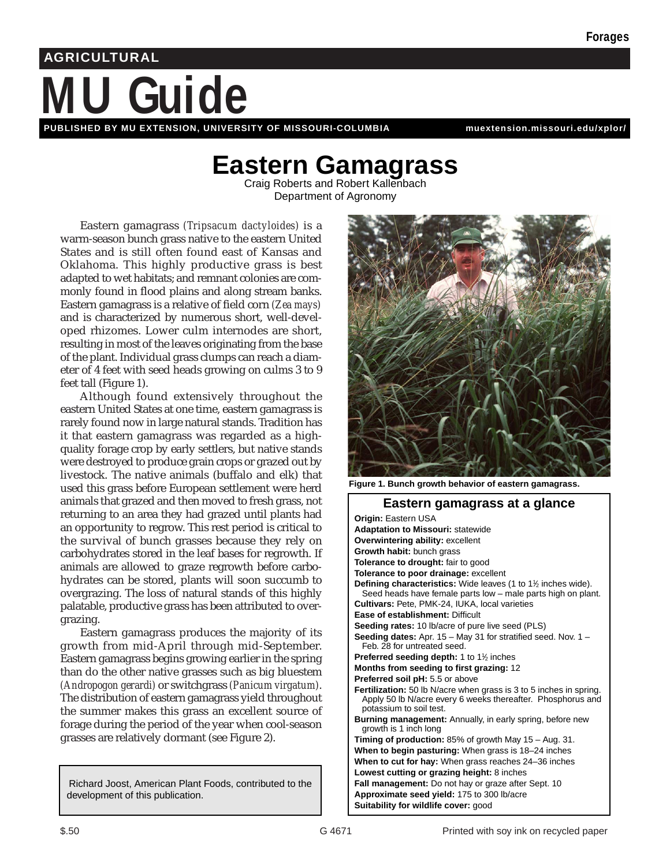# **Guide AGRICULTURAL**

**PUBLISHED BY MU EXTENSION, UNIVERSITY OF MISSOURI-COLUMBIA [muextension.missouri.edu/xplor/](http://muextension.missouri.edu/xplor/)**

## Eastern Gamagrass<br>Craig Roberts and Robert Kallenbach

Department of Agronomy

Eastern gamagrass *(Tripsacum dactyloides)* is a warm-season bunch grass native to the eastern United States and is still often found east of Kansas and Oklahoma. This highly productive grass is best adapted to wet habitats; and remnant colonies are commonly found in flood plains and along stream banks. Eastern gamagrass is a relative of field corn *(Zea mays)* and is characterized by numerous short, well-developed rhizomes. Lower culm internodes are short, resulting in most of the leaves originating from the base of the plant. Individual grass clumps can reach a diameter of 4 feet with seed heads growing on culms 3 to 9 feet tall (Figure 1).

Although found extensively throughout the eastern United States at one time, eastern gamagrass is rarely found now in large natural stands. Tradition has it that eastern gamagrass was regarded as a highquality forage crop by early settlers, but native stands were destroyed to produce grain crops or grazed out by livestock. The native animals (buffalo and elk) that used this grass before European settlement were herd animals that grazed and then moved to fresh grass, not returning to an area they had grazed until plants had an opportunity to regrow. This rest period is critical to the survival of bunch grasses because they rely on carbohydrates stored in the leaf bases for regrowth. If animals are allowed to graze regrowth before carbohydrates can be stored, plants will soon succumb to overgrazing. The loss of natural stands of this highly palatable, productive grass has been attributed to overgrazing.

Eastern gamagrass produces the majority of its growth from mid-April through mid-September. Eastern gamagrass begins growing earlier in the spring than do the other native grasses such as big bluestem *(Andropogon gerardi)* or switchgrass *(Panicum virgatum)*. The distribution of eastern gamagrass yield throughout the summer makes this grass an excellent source of forage during the period of the year when cool-season grasses are relatively dormant (see Figure 2).

Richard Joost, American Plant Foods, contributed to the development of this publication.



**Figure 1. Bunch growth behavior of eastern gamagrass.**

| Eastern gamagrass at a glance                                                                                                                                |
|--------------------------------------------------------------------------------------------------------------------------------------------------------------|
| <b>Origin: Eastern USA</b>                                                                                                                                   |
| <b>Adaptation to Missouri: statewide</b>                                                                                                                     |
| Overwintering ability: excellent                                                                                                                             |
| Growth habit: bunch grass                                                                                                                                    |
| <b>Tolerance to drought:</b> fair to good                                                                                                                    |
| Tolerance to poor drainage: excellent                                                                                                                        |
| <b>Defining characteristics:</b> Wide leaves (1 to $1\frac{1}{2}$ inches wide).<br>Seed heads have female parts low - male parts high on plant.              |
| Cultivars: Pete, PMK-24, IUKA, local varieties                                                                                                               |
| <b>Ease of establishment: Difficult</b>                                                                                                                      |
| Seeding rates: 10 lb/acre of pure live seed (PLS)                                                                                                            |
| <b>Seeding dates:</b> Apr. $15 -$ May 31 for stratified seed. Nov. $1 -$<br>Feb. 28 for untreated seed.                                                      |
| <b>Preferred seeding depth:</b> 1 to $1\frac{1}{2}$ inches                                                                                                   |
| Months from seeding to first grazing: 12                                                                                                                     |
| Preferred soil pH: 5.5 or above                                                                                                                              |
| Fertilization: 50 lb N/acre when grass is 3 to 5 inches in spring.<br>Apply 50 lb N/acre every 6 weeks thereafter. Phosphorus and<br>potassium to soil test. |
| Burning management: Annually, in early spring, before new<br>growth is 1 inch long                                                                           |
| Timing of production: $85\%$ of growth May $15 - \text{Aug. } 31$ .                                                                                          |
| When to begin pasturing: When grass is 18-24 inches                                                                                                          |
| When to cut for hay: When grass reaches 24-36 inches                                                                                                         |
| Lowest cutting or grazing height: 8 inches                                                                                                                   |
| Fall management: Do not hay or graze after Sept. 10                                                                                                          |
| Approximate seed yield: 175 to 300 lb/acre                                                                                                                   |
| Suitability for wildlife cover: good                                                                                                                         |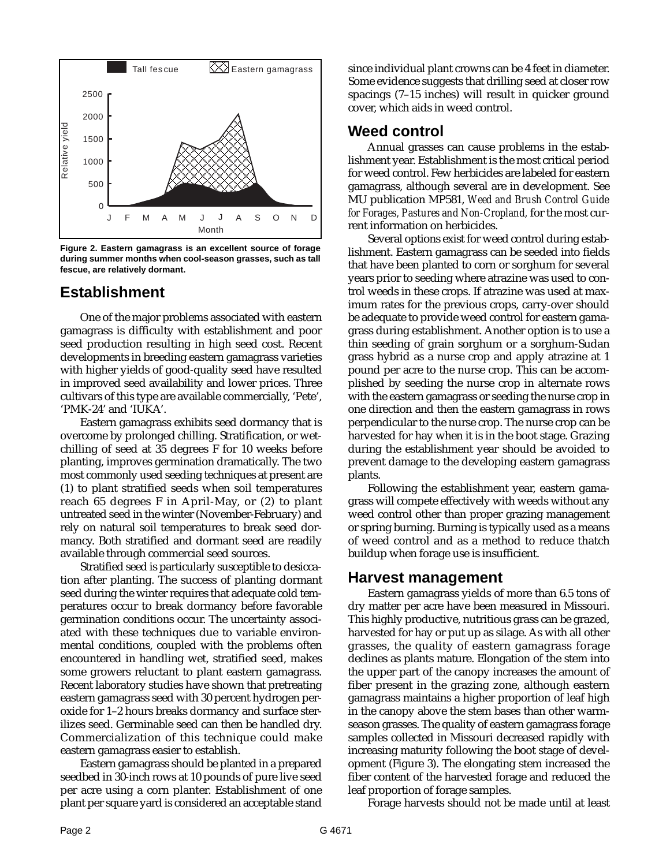

**Figure 2. Eastern gamagrass is an excellent source of forage during summer months when cool-season grasses, such as tall fescue, are relatively dormant.**

## **Establishment**

One of the major problems associated with eastern gamagrass is difficulty with establishment and poor seed production resulting in high seed cost. Recent developments in breeding eastern gamagrass varieties with higher yields of good-quality seed have resulted in improved seed availability and lower prices. Three cultivars of this type are available commercially, 'Pete', 'PMK-24' and 'IUKA'.

Eastern gamagrass exhibits seed dormancy that is overcome by prolonged chilling. Stratification, or wetchilling of seed at 35 degrees F for 10 weeks before planting, improves germination dramatically. The two most commonly used seeding techniques at present are (1) to plant stratified seeds when soil temperatures reach 65 degrees F in April-May, or (2) to plant untreated seed in the winter (November-February) and rely on natural soil temperatures to break seed dormancy. Both stratified and dormant seed are readily available through commercial seed sources.

Stratified seed is particularly susceptible to desiccation after planting. The success of planting dormant seed during the winter requires that adequate cold temperatures occur to break dormancy before favorable germination conditions occur. The uncertainty associated with these techniques due to variable environmental conditions, coupled with the problems often encountered in handling wet, stratified seed, makes some growers reluctant to plant eastern gamagrass. Recent laboratory studies have shown that pretreating eastern gamagrass seed with 30 percent hydrogen peroxide for 1–2 hours breaks dormancy and surface sterilizes seed. Germinable seed can then be handled dry. Commercialization of this technique could make eastern gamagrass easier to establish.

Eastern gamagrass should be planted in a prepared seedbed in 30-inch rows at 10 pounds of pure live seed per acre using a corn planter. Establishment of one plant per square yard is considered an acceptable stand since individual plant crowns can be 4 feet in diameter. Some evidence suggests that drilling seed at closer row spacings (7–15 inches) will result in quicker ground cover, which aids in weed control.

## **Weed control**

Annual grasses can cause problems in the establishment year. Establishment is the most critical period for weed control. Few herbicides are labeled for eastern gamagrass, although several are in development. See MU publication MP581, *Weed and Brush Control Guide for Forages, Pastures and Non-Cropland,* for the most current information on herbicides.

Several options exist for weed control during establishment. Eastern gamagrass can be seeded into fields that have been planted to corn or sorghum for several years prior to seeding where atrazine was used to control weeds in these crops. If atrazine was used at maximum rates for the previous crops, carry-over should be adequate to provide weed control for eastern gamagrass during establishment. Another option is to use a thin seeding of grain sorghum or a sorghum-Sudan grass hybrid as a nurse crop and apply atrazine at 1 pound per acre to the nurse crop. This can be accomplished by seeding the nurse crop in alternate rows with the eastern gamagrass or seeding the nurse crop in one direction and then the eastern gamagrass in rows perpendicular to the nurse crop. The nurse crop can be harvested for hay when it is in the boot stage. Grazing during the establishment year should be avoided to prevent damage to the developing eastern gamagrass plants.

Following the establishment year, eastern gamagrass will compete effectively with weeds without any weed control other than proper grazing management or spring burning. Burning is typically used as a means of weed control and as a method to reduce thatch buildup when forage use is insufficient.

### **Harvest management**

Eastern gamagrass yields of more than 6.5 tons of dry matter per acre have been measured in Missouri. This highly productive, nutritious grass can be grazed, harvested for hay or put up as silage. As with all other grasses, the quality of eastern gamagrass forage declines as plants mature. Elongation of the stem into the upper part of the canopy increases the amount of fiber present in the grazing zone, although eastern gamagrass maintains a higher proportion of leaf high in the canopy above the stem bases than other warmseason grasses. The quality of eastern gamagrass forage samples collected in Missouri decreased rapidly with increasing maturity following the boot stage of development (Figure 3). The elongating stem increased the fiber content of the harvested forage and reduced the leaf proportion of forage samples.

Forage harvests should not be made until at least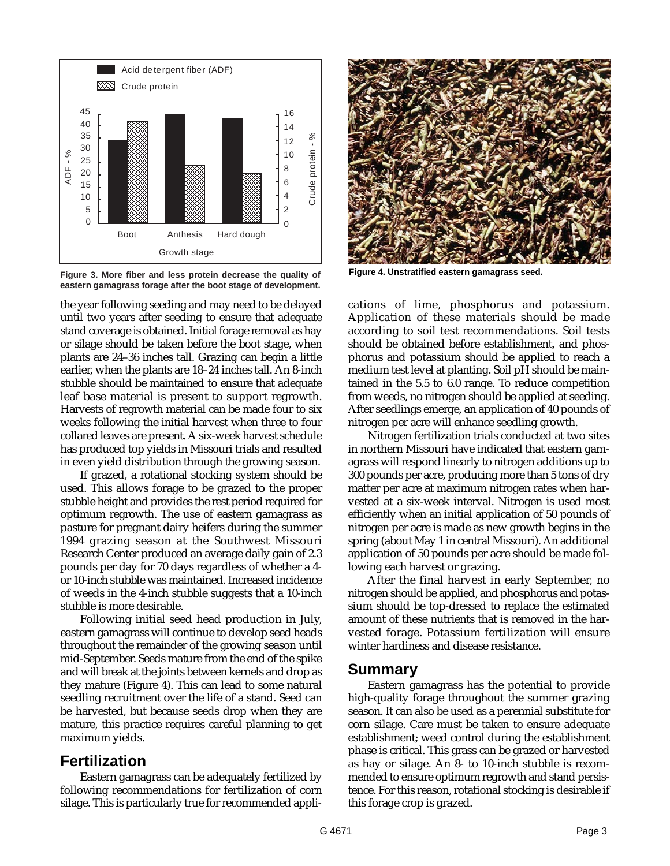

**Figure 3. More fiber and less protein decrease the quality of eastern gamagrass forage after the boot stage of development.**

the year following seeding and may need to be delayed until two years after seeding to ensure that adequate stand coverage is obtained. Initial forage removal as hay or silage should be taken before the boot stage, when plants are 24–36 inches tall. Grazing can begin a little earlier, when the plants are 18–24 inches tall. An 8-inch stubble should be maintained to ensure that adequate leaf base material is present to support regrowth. Harvests of regrowth material can be made four to six weeks following the initial harvest when three to four collared leaves are present. A six-week harvest schedule has produced top yields in Missouri trials and resulted in even yield distribution through the growing season.

If grazed, a rotational stocking system should be used. This allows forage to be grazed to the proper stubble height and provides the rest period required for optimum regrowth. The use of eastern gamagrass as pasture for pregnant dairy heifers during the summer 1994 grazing season at the Southwest Missouri Research Center produced an average daily gain of 2.3 pounds per day for 70 days regardless of whether a 4 or 10-inch stubble was maintained. Increased incidence of weeds in the 4-inch stubble suggests that a 10-inch stubble is more desirable.

Following initial seed head production in July, eastern gamagrass will continue to develop seed heads throughout the remainder of the growing season until mid-September. Seeds mature from the end of the spike and will break at the joints between kernels and drop as they mature (Figure 4). This can lead to some natural seedling recruitment over the life of a stand. Seed can be harvested, but because seeds drop when they are mature, this practice requires careful planning to get maximum yields.

### **Fertilization**

Eastern gamagrass can be adequately fertilized by following recommendations for fertilization of corn silage. This is particularly true for recommended appli-



**Figure 4. Unstratified eastern gamagrass seed.**

cations of lime, phosphorus and potassium. Application of these materials should be made according to soil test recommendations. Soil tests should be obtained before establishment, and phosphorus and potassium should be applied to reach a medium test level at planting. Soil pH should be maintained in the 5.5 to 6.0 range. To reduce competition from weeds, no nitrogen should be applied at seeding. After seedlings emerge, an application of 40 pounds of nitrogen per acre will enhance seedling growth.

Nitrogen fertilization trials conducted at two sites in northern Missouri have indicated that eastern gamagrass will respond linearly to nitrogen additions up to 300 pounds per acre, producing more than 5 tons of dry matter per acre at maximum nitrogen rates when harvested at a six-week interval. Nitrogen is used most efficiently when an initial application of 50 pounds of nitrogen per acre is made as new growth begins in the spring (about May 1 in central Missouri). An additional application of 50 pounds per acre should be made following each harvest or grazing.

After the final harvest in early September, no nitrogen should be applied, and phosphorus and potassium should be top-dressed to replace the estimated amount of these nutrients that is removed in the harvested forage. Potassium fertilization will ensure winter hardiness and disease resistance.

### **Summary**

Eastern gamagrass has the potential to provide high-quality forage throughout the summer grazing season. It can also be used as a perennial substitute for corn silage. Care must be taken to ensure adequate establishment; weed control during the establishment phase is critical. This grass can be grazed or harvested as hay or silage. An 8- to 10-inch stubble is recommended to ensure optimum regrowth and stand persistence. For this reason, rotational stocking is desirable if this forage crop is grazed.